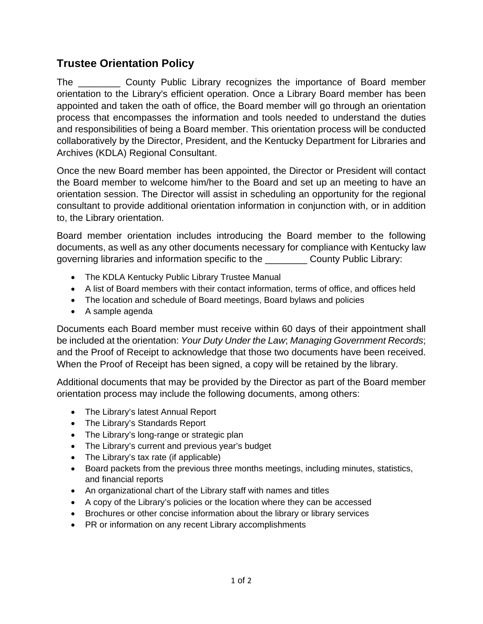## **Trustee Orientation Policy**

The **Example 20 County Public Library recognizes the importance of Board member** orientation to the Library's efficient operation. Once a Library Board member has been appointed and taken the oath of office, the Board member will go through an orientation process that encompasses the information and tools needed to understand the duties and responsibilities of being a Board member. This orientation process will be conducted collaboratively by the Director, President, and the Kentucky Department for Libraries and Archives (KDLA) Regional Consultant.

Once the new Board member has been appointed, the Director or President will contact the Board member to welcome him/her to the Board and set up an meeting to have an orientation session. The Director will assist in scheduling an opportunity for the regional consultant to provide additional orientation information in conjunction with, or in addition to, the Library orientation.

Board member orientation includes introducing the Board member to the following documents, as well as any other documents necessary for compliance with Kentucky law governing libraries and information specific to the \_\_\_\_\_\_\_\_ County Public Library:

- The KDLA Kentucky Public Library Trustee Manual
- A list of Board members with their contact information, terms of office, and offices held
- The location and schedule of Board meetings, Board bylaws and policies
- A sample agenda

Documents each Board member must receive within 60 days of their appointment shall be included at the orientation: *Your Duty Under the Law*; *Managing Government Records*; and the Proof of Receipt to acknowledge that those two documents have been received. When the Proof of Receipt has been signed, a copy will be retained by the library.

Additional documents that may be provided by the Director as part of the Board member orientation process may include the following documents, among others:

- The Library's latest Annual Report
- The Library's Standards Report
- The Library's long-range or strategic plan
- The Library's current and previous year's budget
- The Library's tax rate (if applicable)
- Board packets from the previous three months meetings, including minutes, statistics, and financial reports
- An organizational chart of the Library staff with names and titles
- A copy of the Library's policies or the location where they can be accessed
- Brochures or other concise information about the library or library services
- PR or information on any recent Library accomplishments